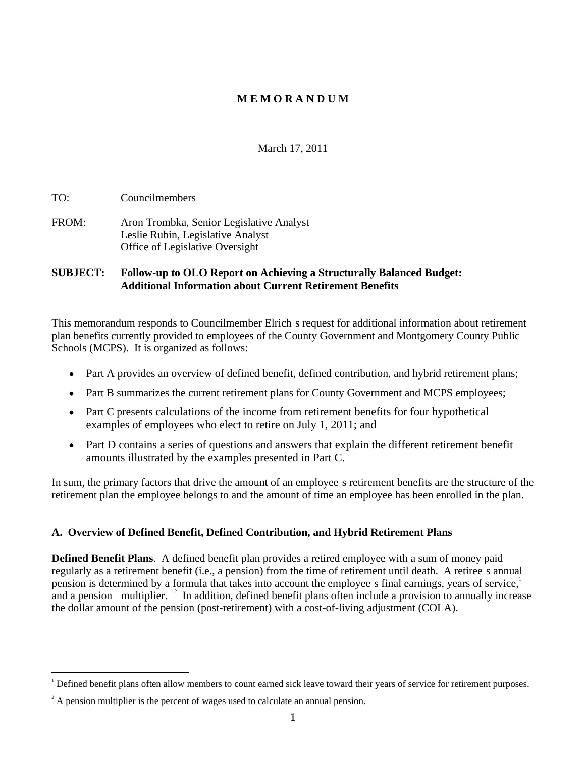# **M E M O R A N D UM**

March 17, 2011

TO: Councilmembers

FROM: Aron Trombka, Senior Legislative Analyst Leslie Rubin, Legislative Analyst Office of Legislative Oversight

### **SUBJECT: Follow-up to OLO Report on Achieving a Structurally Balanced Budget: Additional Information about Current Retirement Benefits**

This memorandum responds to Councilmember Elrich s request for additional information about retirement plan benefits currently provided to employees of the County Government and Montgomery County Public Schools (MCPS). It is organized as follows:

- Part A provides an overview of defined benefit, defined contribution, and hybrid retirement plans;
- Part B summarizes the current retirement plans for County Government and MCPS employees;
- Part C presents calculations of the income from retirement benefits for four hypothetical examples of employees who elect to retire on July 1, 2011; and
- Part D contains a series of questions and answers that explain the different retirement benefit amounts illustrated by the examples presented in Part C.

In sum, the primary factors that drive the amount of an employee s retirement benefits are the structure of the retirement plan the employee belongs to and the amount of time an employee has been enrolled in the plan.

# **A. Overview of Defined Benefit,Defined Contribution, and Hybrid Retirement Plans**

**Defined Benefit Plans**. A defined benefit plan provides a retired employee with a sum of money paid regularly as a retirement benefit (i.e., a pension) from the time of retirement until death. A retiree s annual pension is determined by a formula that takes into account the employee s final earnings, years of service,<sup>1</sup> and a pension multiplier.  $\frac{2}{3}$  In addition, defined benefit plans often include a provision to annually increase the dollar amount of the pension (post-retirement) with a cost-of-living adjustment (COLA).

 $<sup>1</sup>$  Defined benefit plans often allow members to count earned sick leave toward their years of service for retirement purposes.</sup>

 $2^2$  A pension multiplier is the percent of wages used to calculate an annual pension.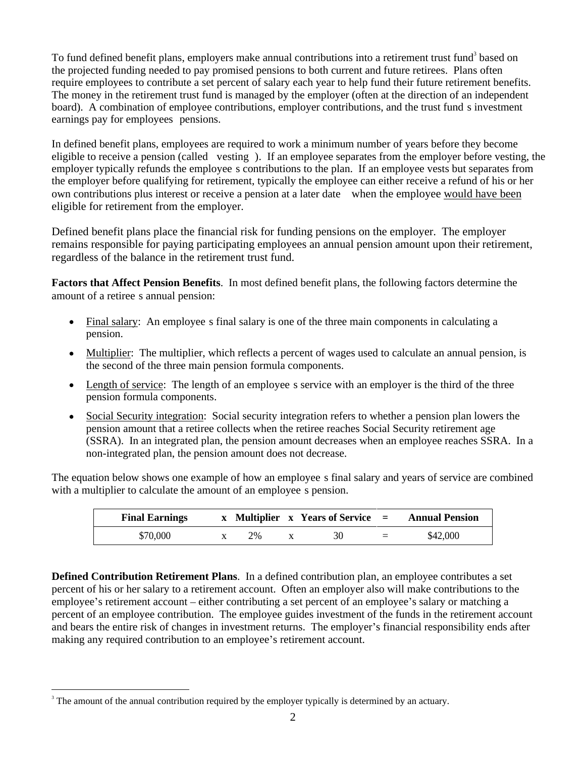To fund defined benefit plans, employers make annual contributions into a retirement trust fund<sup>3</sup> based on  $3<sup>1</sup>$  and  $1<sup>1</sup>$  and  $1<sup>1</sup>$ based on the projected funding needed to pay promised pensions to both current and future retirees. Plans often require employees to contribute a set percent of salary each year to help fund their future retirement benefits. The money in the retirement trust fund is managed by the employer (often at the direction of an independent board). A combination of employee contributions, employer contributions, and the trust fund s investment earnings pay for employees pensions.<br>In defined benefit plans, employees are required to work a minimum number of years before they become

eligible to receive a pension (called vesting ). If an employee separates from the employer before vesting, the employer typically refunds the employee s contributions to the plan. If an employee vests but separates from the employer before qualifying for retirement, typically the employee can either receive a refund of his or her own contributions plus interest or receive a pension at a later date when the employee would have been eligible for retirement from the employer.

Defined benefit plans place the financial risk for funding pensions on the employer. The employer remains responsible for paying participating employees an annual pension amount upon their retirement, regardless of the balance in the retirement trust fund.

**Factors that Affect Pension Benefits.** In most defined benefit plans, the following factors determine the amount of a retiree s annual pension:

- Final salary: An employee s final salary is one of the three main components in calculating a pension.
- $\bullet$  Multiplier: The multiplier, which reflects a percent of wages used to calculate an annual pension, is the second of the three main pension formula components.
- Length of service: The length of an employee s service with an employer is the third of the three pension formula components.
- Social Security integration: Social security integration refers to whether a pension plan lowers the pension amount that a retiree collects when the retiree reaches Social Security retirement age (SSRA). In an integrated plan, the pension amount decreases when an employee reaches SSRA. In a non-integrated plan, the pension amount does not decrease.

The equation below shows one example of how an employee s final salary and years of service are combined with a multiplier to calculate the amount of an employee s pension.

**Defined Contribution Retirement Plans**. In a defined contribution plan, an employee contributes a set percent of his or her salary to a retirement account. Often an employer also will make contributions to the employee's retirement account – either contributing a set percent of an employee's salary or matching a percent of an employee contribution. The employee guides investment of the funds in the retirement account and bears the entire risk of changes in investment returns. The employer's financial responsibility ends after making any required contribution to an employee's retirement account.

 $3$  The amount of the annual contribution required by the employer typically is determined by an actuary.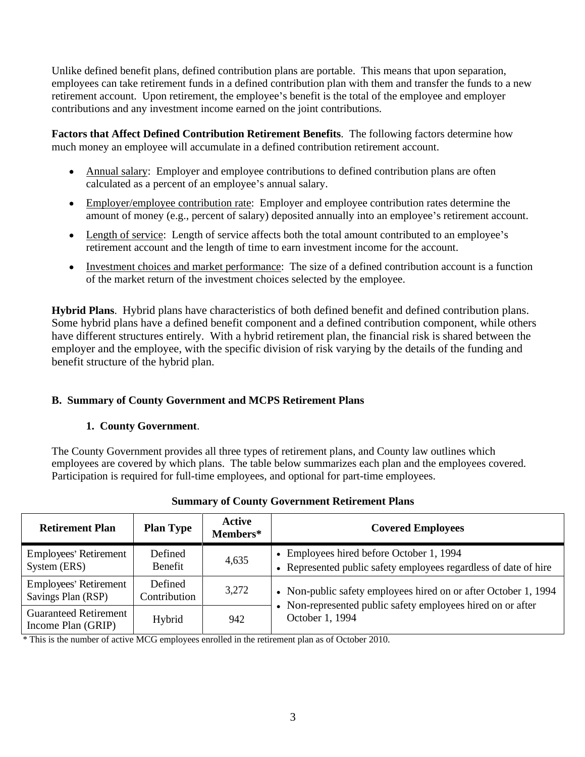Unlike defined benefit plans, defined contribution plans are portable. This means that upon separation, employees can take retirement funds in a defined contribution plan with them and transfer the funds to a new retirement account. Upon retirement, the employee's benefit is the total of the employee and employer contributions and any investment income earned on the joint contributions.

**Factors that Affect Defined Contribution Retirement Benefits**. The following factors determine how much money an employee will accumulate in a defined contribution retirement account.

- Annual salary: Employer and employee contributions to defined contribution plans are often calculated as a percent of an employee's annual salary.
- Employer/employee contribution rate: Employer and employee contribution rates determine the amount of money (e.g., percent of salary) deposited annually into an employee's retirement account.
- Length of service: Length of service affects both the total amount contributed to an employee's retirement account and the length of time to earn investment income for the account.
- Investment choices and market performance: The size of a defined contribution account is a function of the market return of the investment choices selected by the employee.

**Hybrid Plans**. Hybrid plans have characteristics of both defined benefit and defined contribution plans. Some hybrid plans have a defined benefit component and a defined contribution component, while others have different structures entirely. With a hybrid retirement plan, the financial risk is shared between the employer and the employee, with the specific division of risk varying by the details of the funding and benefit structure of the hybrid plan.

# **B. Summary of County Government and MCPS Retirement Plans**

# **1. County Government**.

The County Government provides all three types of retirement plans, and County law outlines which employees are covered by which plans. The table below summarizes each plan and the employees covered. Participation is required for full-time employees, and optional for part-time employees.

| <b>Retirement Plan</b>                             | <b>Plan Type</b>        | Active<br>Members* | <b>Covered Employees</b>                                                                                     |
|----------------------------------------------------|-------------------------|--------------------|--------------------------------------------------------------------------------------------------------------|
| <b>Employees' Retirement</b><br>System (ERS)       | Defined<br>Benefit      | 4,635              | • Employees hired before October 1, 1994<br>• Represented public safety employees regardless of date of hire |
| <b>Employees' Retirement</b><br>Savings Plan (RSP) | Defined<br>Contribution | 3,272              | • Non-public safety employees hired on or after October 1, 1994                                              |
| <b>Guaranteed Retirement</b><br>Income Plan (GRIP) | Hybrid                  | 942                | • Non-represented public safety employees hired on or after<br>October 1, 1994                               |

# **Summary of County Government Retirement Plans**

\* This is the number of active MCG employees enrolled in the retirement plan as of October 2010.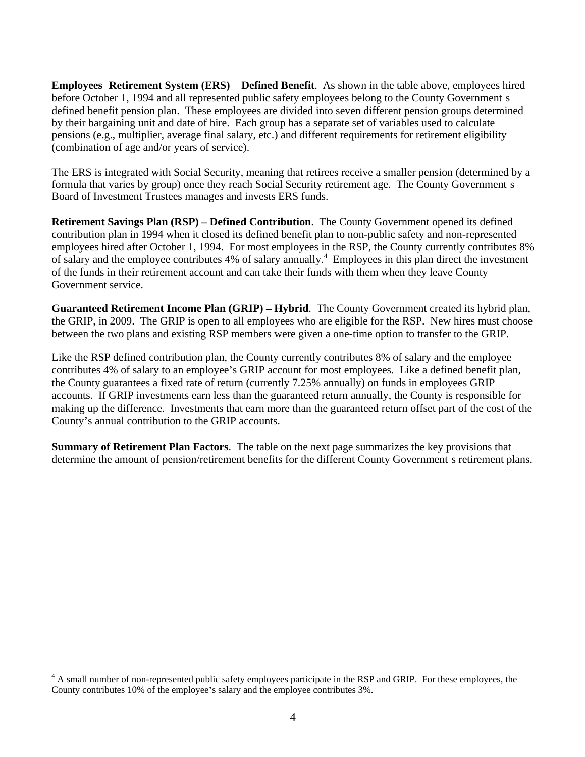**Employees Retirement System (ERS) Defined Benefit**. As shown in the table above, employees hired before October 1, 1994 and all represented public safety employees belong to the County Government s defined benefit pension plan. These employees are divided into seven different pension groups determined by their bargaining unit and date of hire. Each group has aseparate set of variables used to calculate pensions (e.g., multiplier, average final salary, etc.) and different requirements for retirement eligibility

(combination of age and/or years of service).<br>The ERS is integrated with Social Security, meaning that retirees receive a smaller pension (determined by a formula that varies by group) once they reach Social Security retirement age. The County Government s Board of Investment Trustees manages and invests ERS funds.

**Retirement Savings Plan (RSP) – Defined Contribution.** The County Government opened its defined contribution plan in 1994 when it closed its defined benefit plan to non-public safety and non-represented employees hired after October 1, 1994. For most employees in the RSP, the County currently contributes 8% of salary and the employee contributes 4% of salary annually.<sup>4</sup> Employees in this plan direct the investment of the funds in their retirement account and can take their funds with them when they leave County Government service.

**Guaranteed Retirement Income Plan (GRIP) – Hybrid.** The County Government created its hybrid plan, the GRIP, in 2009. The GRIP is open to all employees who are eligible for the RSP. New hires must choose between the two plans and existing RSP members were given a one-time option to transfer to the GRIP.

Like the RSP defined contribution plan, the County currently contributes 8% of salary and the employee contributes 4% of salary to an employee's GRIP account for most employees. Like a defined benefit plan, the County guarantees a fixed rate of return (currently 7.25% annually) on funds in employees GRIP accounts. If GRIP investments earn less than the guaranteed return annually, the County is responsible for making up the difference. Investments that earn more than the guaranteed return offset part of the cost of the County's annual contribution to the GRIP accounts.

**Summary of Retirement Plan Factors**. The table on the next page summarizes the key provisions that determine the amount of pension/retirement benefits for the different County Government s retirement plans.

<sup>&</sup>lt;sup>4</sup> A small number of non-represented public safety employees participate in the RSP and GRIP. For these employees, the County contributes 10% of the employee's salary and the employee contributes 3%.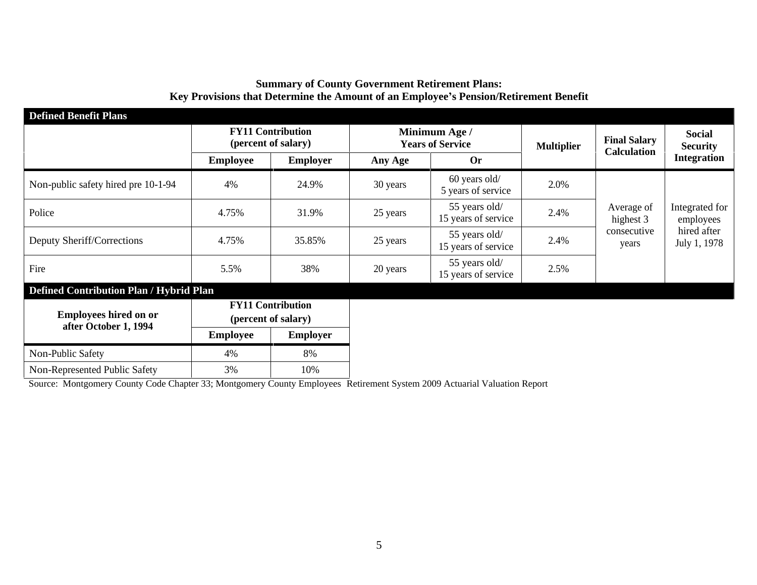# **Summary of County Government Retirement Plans: Key Provisions that Determine the Amount of an Employee s Pension/Retirement Benefit**

| <b>Defined Benefit Plans</b>                          |                 |                                                 |          |                                          |                   |                                    |                                                           |
|-------------------------------------------------------|-----------------|-------------------------------------------------|----------|------------------------------------------|-------------------|------------------------------------|-----------------------------------------------------------|
|                                                       |                 | <b>FY11 Contribution</b><br>(percent of salary) |          | Minimum Age /<br><b>Years of Service</b> | <b>Multiplier</b> | <b>Final Salary</b><br>Calculation | Social<br><b>Security</b>                                 |
|                                                       | <b>Employee</b> | Employer                                        | Any Age  | <b>Or</b>                                |                   |                                    | <b>Integration</b>                                        |
| Non-public safety hired pre 10-1-94                   | 4%              | 24.9%                                           | 30 years | 60 years old/<br>5 years of service      | 2.0%              |                                    |                                                           |
| Police                                                | 4.75%           | 31.9%                                           | 25 years | 55 years old/<br>15 years of service     | 2.4%              | highest 3                          | Average of   Integrated for  <br>employees<br>hired after |
| Deputy Sheriff/Corrections                            | 4.75%           | 35.85%                                          | 25 years | 55 years old/<br>15 years of service     | 2.4%              | consecutive<br>years               | July 1, 1978                                              |
| Fire                                                  | 5.5%            | 38%                                             | 20 years | 55 years old/<br>15 years of service     | 2.5%              |                                    |                                                           |
| Defined Contribution Plan / Hybrid Plan               |                 |                                                 |          |                                          |                   |                                    |                                                           |
| <b>Employees hired on or</b><br>after October 1, 1994 |                 | <b>FY11 Contribution</b><br>(percent of salary) |          |                                          |                   |                                    |                                                           |
|                                                       | <b>Employee</b> | Employer                                        |          |                                          |                   |                                    |                                                           |
| Non-Public Safety                                     | 4%              | 8%                                              |          |                                          |                   |                                    |                                                           |
| Non-Represented Public Safety                         |                 | 10%                                             |          |                                          |                   |                                    |                                                           |

Source: Montgomery County CodeChapter 33; Montgomery County Employees Retirement System 2009 Actuarial Valuation Report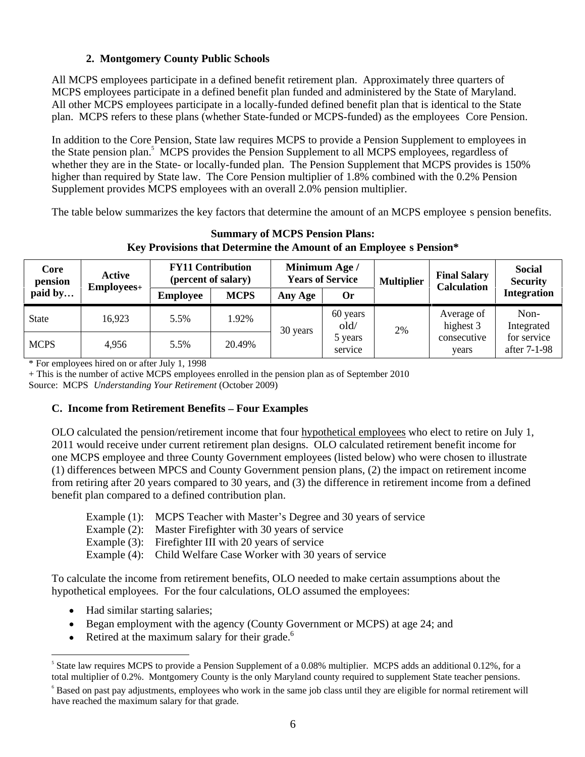# **2. Montgomery County Public Schools**

All MCPS employees participate in a defined benefit retirement plan. Approximately three quarters of MCPS employees participate in a defined benefit plan funded and administered by the State of Maryland. All other MCPS employees participate in a locally-funded defined benefit plan that is identical to the State plan. MCPS refers to these plans (whether State-funded or MCPS-funded) as the employees Core Pension.

In addition to the Core Pension, State law requires MCPS to provide a Pension Supplement to employees in the State pension plan.<sup>5</sup> MCPS provides the Pension Supplement to all MCPS employees, regardless of whether they are in the State- or locally-funded plan. The Pension Supplement that MCPS provides is 150% higher than required by State law. The Core Pension multiplier of 1.8% combined with the 0.2% Pension Supplement provides MCPS employees with an overall 2.0% pension multiplier.

The table below summarizes the key factors that determine the amount of an MCPS employee s pension benefits.

| <b>Core</b><br>pension<br>paid by | Active     | <b>FY11 Contributio</b><br>(percent of salary) |             | <b>Minimum Age.</b><br><b>Years of Service</b> |                    |             | <b>Final Salary</b><br>$\mid$ Multiplier $\mid$ Calculation | Social<br>Security          |
|-----------------------------------|------------|------------------------------------------------|-------------|------------------------------------------------|--------------------|-------------|-------------------------------------------------------------|-----------------------------|
|                                   | Employees+ |                                                | <b>MCPS</b> | Any Age                                        | Or                 |             |                                                             | Integration                 |
| State                             | 16,923     | $\sim$ . $\sim$                                | 1.92%       | ) vears                                        | 60 years<br>old,   |             | Average of<br>100000<br>ingnest o                           | Non-<br>Integrate           |
| <b>MCPS</b>                       | 4,956      | 5.5%                                           | 20.49%      |                                                | 5 year.<br>service | $\angle$ /0 | consecutive<br>years                                        | for service<br>after 7-1-98 |

**Summary of MCPS Pension Plans: Key Provisions that Determine the Amount of an Employee s Pension\***

\* For employees hired on or after July 1, 1998

+ This is the number of active MCPS employees enrolled in the pension plan as of September 2010 Source: MCPS *Understanding Your Retirement* (October 2009)

### **C. Income from Retirement Benefits – Four Examples**

OLO calculated the pension/retirement income that four hypothetical employees who elect to retire on July 1, 2011 would receive under current retirement plan designs. OLO calculated retirement benefit income for one MCPS employee and three County Government employees (listed below) who were chosen to illustrate (1) differences between MPCS and County Government pension plans, (2) the impact on retirement income from retiring after 20 years compared to 30 years, and (3) the difference in retirement income from a defined benefit plan compared to a defined contribution plan.

| Example $(1)$ : | MCPS Teacher with Master's Degree and 30 years of service |  |  |
|-----------------|-----------------------------------------------------------|--|--|
|                 |                                                           |  |  |

Example (2): Master Firefighter with 30 years of service

Example (3): Firefighter III with 20 years of service

Example (4): Child Welfare Case Worker with 30 years of service

To calculate the income from retirement benefits, OLO needed to make certain assumptions about the hypothetical employees. For the four calculations, OLO assumed the employees:

- Had similar starting salaries;
- Began employment with the agency (County Government or MCPS) at age 24; and
- Retired at the maximum salary for their grade. $6$

 $<sup>5</sup>$  State law requires MCPS to provide a Pension Supplement of a 0.08% multiplier. MCPS adds an additional 0.12%, for a</sup> total multiplier of 0.2%. Montgomery County is the only Maryland county required to supplement State teacher pensions.

 $6$  Based on past pay adjustments, employees who work in the same job class until they are eligible for normal retirement will have reached the maximum salary for that grade.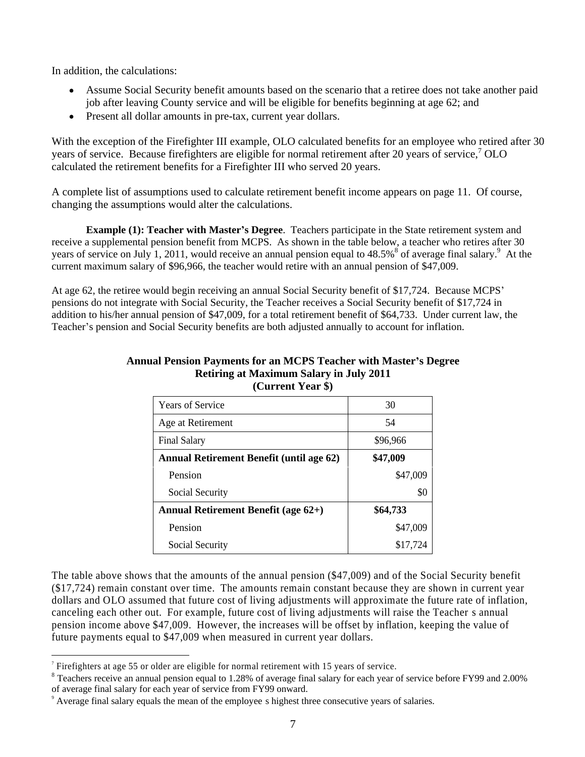In addition, the calculations:

- Assume Social Security benefit amounts based on the scenario that a retiree does not take another paid job after leaving County service and will be eligible for benefits beginning at age 62; and
- Present all dollar amounts in pre-tax, current year dollars.

With the exception of the Firefighter III example, OLO calculated benefits for an employee who retired after 30 years of service. Because firefighters are eligible for normal retirement after 20 years of service,  $70LO$  OLO calculated the retirement benefits for a Firefighter III who served 20 years.

A complete list of assumptions used to calculate retirement benefit income appears on page 11. Of course, changing the assumptions would alter the calculations.

**Example (1): Teacher with Master s Degree**. Teachers participate in the State retirement system and receive a supplemental pension benefit from MCPS. As shown in the table below, a teacher who retires after 30 years of service on July 1, 2011, would receive an annual pension equal to 48.5%<sup>8</sup> of average final salary.<sup>9</sup> At the At the

current maximum salary of \$96,966, the teacher would retire with an annual pension of \$47,009.<br>At age 62, the retiree would begin receiving an annual Social Security benefit of \$17,724. Because MCPS' pensions do not integrate with Social Security, the Teacher receives a Social Security benefit of \$17,724 in addition to his/her annual pension of \$47,009, for a total retirement benefit of \$64,733. Under current law, the Teacher's pension and Social Security benefits are both adjusted annually to account for inflation.

| Years of Service                                | 30       |
|-------------------------------------------------|----------|
| Age at Retirement                               | 54       |
| Final Salary                                    | \$96,966 |
| <b>Annual Retirement Benefit (until age 62)</b> | \$47,009 |
| Pension                                         | \$47,009 |
| Social Security                                 | \$0      |
| <b>Annual Retirement Benefit (age 62+)</b>      | \$64,733 |
| Pension                                         | \$47,009 |
| Social Security                                 | \$17,724 |

### **Annual Pension Payments for an MCPS Teacher with Master s Degree Retiring at Maximum Salary in July 2011 (Current Year \$)**

The table above shows that the amounts of the annual pension (\$47,009) and of the Social Security benefit (\$17,724) remain constant over time. The amounts remain constant because they are shown in current year dollars and OLO assumed that future cost of living adjustments will approximate the future rate of inflation, canceling each other out. For example, future cost of living adjustments will raise the Teacher s annual pension income above \$47,009. However, the increases will be offset by inflation, keeping the value of future payments equal to \$47,009 when measured in current year dollars.

 $\degree$  Firefighters at age 55 or older are eligible for normal retirement with 15 years of service.

<sup>&</sup>lt;sup>8</sup> Teachers receive an annual pension equal to 1.28% of average final salary for each year of service before FY99 and 2.00% of average final salary for each year of service from FY99 onward.

<sup>9</sup> Average final salary equals the mean of the employee s highest three consecutive years of salaries.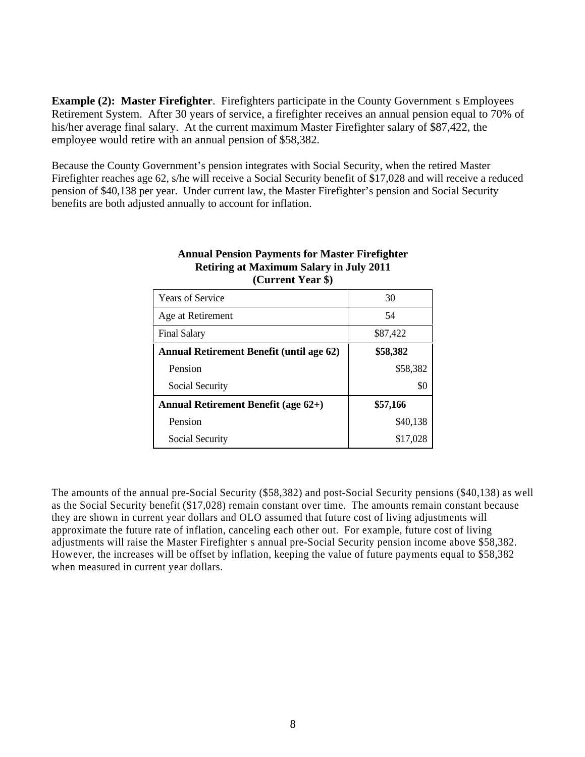**Example (2): Master Firefighter**. Firefighters participate in the County Government s Employees Retirement System. After 30 years of service, a firefighter receives an annual pension equal to 70% of his/her average final salary. At the current maximum Master Firefighter salary of \$87,422, the employee would retire with an annual pension of \$58,382.

Because the County Government's pension integrates with Social Security, when the retired Master Firefighter reaches age 62, s/he will receive a Social Security benefit of \$17,028 and will receive a reduced pension of \$40,138 per year. Under current law, the Master Firefighter's pension and Social Security benefits are both adjusted annually to account for inflation.

| Years of Service                           | 30 <sup>2</sup> |
|--------------------------------------------|-----------------|
| Age at Retirement                          | 54              |
| Final Salary                               | \$87,422        |
| Annual Retirement Benefit (until age 62)   | \$58,382        |
| Pension                                    | \$58,382        |
| Social Security                            | \$0             |
| <b>Annual Retirement Benefit (age 62+)</b> | \$57,166        |
| Pension                                    | \$40,138        |
| Social Security                            | \$17,028        |

#### **Annual Pension Payments for Master Firefighter Retiring at Maximum Salary in July 2011 (Current Year \$)**

The amounts of the annual pre-Social Security (\$58,382) and post-Social Security pensions (\$40,138) as well as the Social Security benefit (\$17,028) remain constant over time. The amounts remain constant because they are shown in current year dollars and OLO assumed that future cost of living adjustments will approximate the future rate of inflation, canceling each other out. For example, future cost of living adjustments will raise the Master Firefighter s annual pre-Social Security pension income above \$58,382. However, the increases will be offset by inflation, keeping the value of future payments equal to \$58,382 when measured in current year dollars.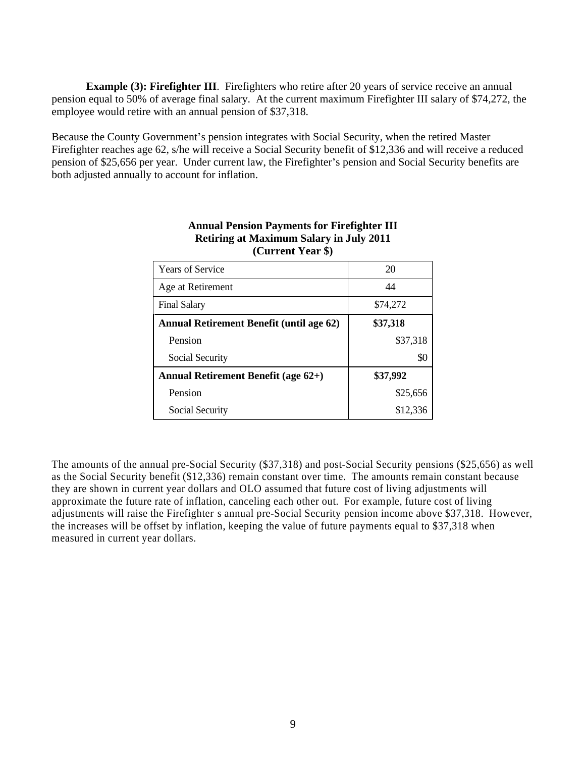**Example (3): Firefighter III.** Firefighters who retire after 20 years of service receive an annual pension equal to 50% of average final salary. At the current maximum Firefighter III salary of \$74,272, the employee would retire with an annual pension of \$37,318.

Because the County Government's pension integrates with Social Security, when the retired Master Firefighter reaches age 62, s/he will receive a Social Security benefit of \$12,336 and will receive a reduced pension of \$25,656 per year. Under current law, the Firefighter's pension and Social Security benefits are both adjusted annually to account for inflation.

| Years of Service                         | 20       |
|------------------------------------------|----------|
| Age at Retirement                        |          |
| <b>Final Salary</b>                      | \$74,272 |
| Annual Retirement Benefit (until age 62) | \$37,318 |
| Pension                                  | \$37,318 |
| Social Security                          | \$0      |
| Annual Retirement Benefit (age 62+)      | \$37,992 |
| Pension                                  | \$25,656 |
| Social Security                          | \$12,336 |

#### **Annual Pension Payments for Firefighter III Retiring at Maximum Salary in July 2011 (Current Year \$)**

The amounts of the annual pre-Social Security (\$37,318) and post-Social Security pensions (\$25,656) as well as the Social Security benefit (\$12,336) remain constant over time. The amounts remain constant because they are shown in current year dollars and OLO assumed that future cost of living adjustments will approximate the future rate of inflation, canceling each other out. For example, future cost of living adjustments will raise the Firefighter s annual pre-Social Security pension income above \$37,318. However, the increases will be offset by inflation, keeping the value of future payments equal to \$37,318 when measured in current year dollars.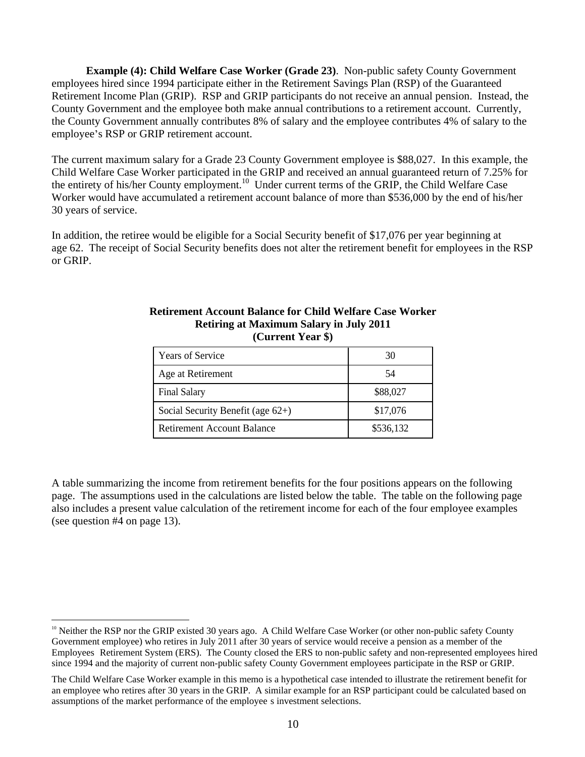**Example (4): Child Welfare Case Worker (Grade 23)**. Non-public safety County Government employees hired since 1994 participate either in the Retirement Savings Plan (RSP) of the Guaranteed Retirement Income Plan (GRIP). RSP and GRIP participants do not receive an annual pension. Instead, the County Government and the employee both make annual contributions to a retirement account. Currently, the County Government annually contributes 8% of salary and the employee contributes 4% of salary to the employee's RSP or GRIP retirement account.<br>The current maximum salary for a Grade 23 County Government employee is \$88,027. In this example, the

Child Welfare Case Worker participated in the GRIP and received an annual guaranteed return of 7.25% for the entirety of his/her County employment.<sup>10</sup> Under current terms of the GRIP, the Child Welfare Case Worker would have accumulated a retirement account balance of more than \$536,000 by the end of his/her 30 years of service.

In addition, the retiree would be eligible for a Social Security benefit of \$17,076 per year beginning at age 62. The receipt of Social Security benefits does not alter the retirement benefit for employees in the RSP or GRIP.

| Years of Service                     |           |
|--------------------------------------|-----------|
| Age at Retirement                    |           |
| <b>Final Salary</b>                  | \$88,027  |
| Social Security Benefit (age $62+$ ) | \$17,076  |
| Retirement Account Balance           | \$536,132 |

#### **Retirement Account Balance for Child Welfare Case Worker Retiring at Maximum Salary in July 2011 (Current Year \$)**

A table summarizing the income from retirement benefits for the four positions appears on the following page. The assumptions used in the calculations are listed below the table. The table on the following page also includes a present value calculation of the retirement income for each of the four employee examples (see question #4 on page 13).

 $10<sup>10</sup>$  Neither the RSP nor the GRIP existed 30 years ago. A Child Welfare Case Worker (or other non-public safety County Government employee) who retires in July 2011 after 30 years of service would receive a pension as a member of the Employees Retirement System (ERS). The County closed the ERS to non-public safety and non-represented employees hired since 1994 and the majority of current non-public safety County Government employees participate in the RSP or GRIP.

The Child Welfare Case Worker example in this memo is a hypothetical case intended to illustrate the retirement benefit for an employee who retires after 30 years in the GRIP. A similar example for an RSP participant could be calculated based on assumptions of the market performance of the employee s investment selections.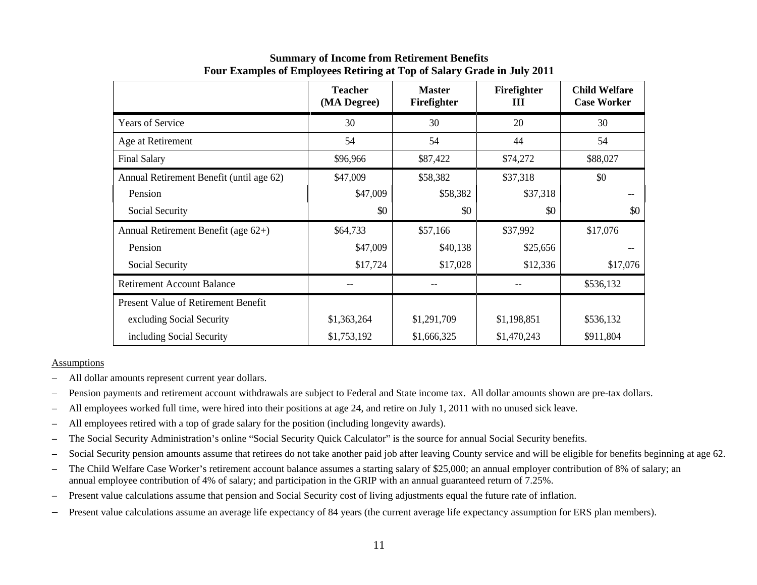|                                          | <b>Teacher</b><br>(MA Degree) | <b>Master</b><br>Firefighter | Firefighter<br>Ш | <b>Child Welfare</b><br><b>Case Worker</b> |
|------------------------------------------|-------------------------------|------------------------------|------------------|--------------------------------------------|
| Years of Service                         | 30                            | 30                           | 20               | 30                                         |
| Age at Retirement                        | 54                            | 54                           | 44               | 54                                         |
| Final Salary                             | \$96,966                      | \$87,422                     | \$74,272         | \$88,027                                   |
| Annual Retirement Benefit (until age 62) | \$47,009                      | \$58,382                     | \$37,318         | \$0                                        |
| Pension                                  | \$47,009                      | \$58,382                     | \$37,318         | $- -$                                      |
| Social Security                          | \$0                           | \$0                          | \$0              | \$0                                        |
| Annual Retirement Benefit (age 62+)      | \$64,733                      | \$57,166                     | \$37,992         | \$17,076                                   |
| Pension                                  | \$47,009                      | \$40,138                     | \$25,656         | $- -$                                      |
| Social Security                          | \$17,724                      | \$17,028                     | \$12,336         | \$17,076                                   |
| <b>Retirement Account Balance</b>        | $- -$                         | $- -$                        | $- -$            | \$536,132                                  |
| Present Value of Retirement Benefit      |                               |                              |                  |                                            |
| excluding Social Security                | \$1,363,264                   | \$1,291,709                  | \$1,198,851      | \$536,132                                  |
| including Social Security                | \$1,753,192                   | \$1,666,325                  | \$1,470,243      | \$911,804                                  |

### **Summary of Income from Retirement Benefits Four Examples of Employees Retiring at Top of Salary Grade in July 2011**

#### Assumptions

- All dollar amounts represent current year dollars.
- Pension payments and retirement account withdrawals are subject to Federal and State income tax. All dollar amounts shown are pre-tax dollars.
- All employees worked full time, were hired into their positions at age 24, and retire on July 1, 2011 with no unused sick leave.
- All employees retired with a top of grade salary for the position (including longevity awards).  $\overline{\phantom{m}}$
- The Social Security Administration's online "Social Security Quick Calculator" is the source for annual Social Security benefits.  $\overline{\phantom{m}}$
- Social Security pension amounts assume that retirees do not take another paid job after leaving County service and will be eligible for benefits beginning at age 62.  $\overline{\phantom{0}}$
- The Child Welfare Case Worker's retirement account balance assumes a starting salary of \$25,000; an annual employer contribution of 8% of salary; an  $\overline{\phantom{m}}$ annual employee contribution of 4% of salary; and participation in the GRIP with an annual guaranteed return of 7.25%.
- Present value calculations assume that pension and Social Security cost of living adjustments equal the future rate of inflation.  $\equiv$
- Present value calculations assume an average life expectancy of 84 years (the current average life expectancy assumption for ERS plan members). $\overline{\phantom{0}}$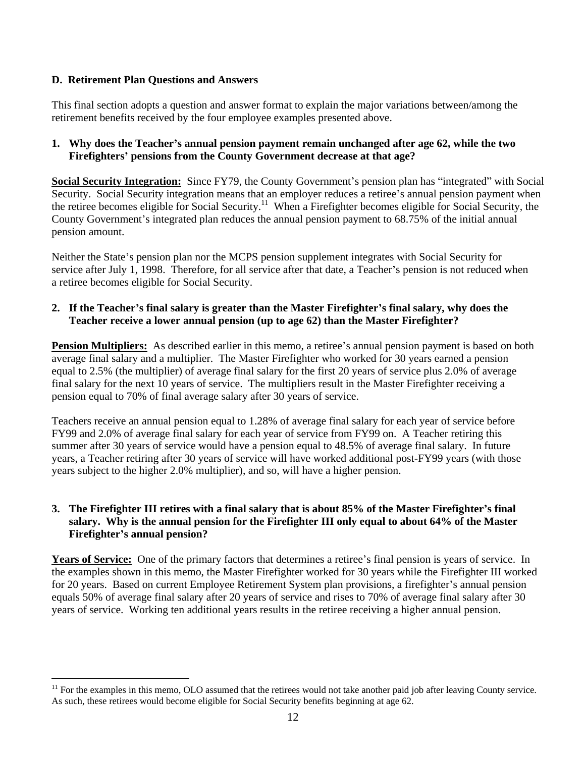### **D. Retirement Plan Questions and Answers**

This final section adopts a question and answer format to explain the major variations between/among the retirement benefits received by the four employee examples presented above.

### **1. Why does the Teacher s annual pension payment remain unchanged after age 62, while the two Firefighters pensions from the County Government decrease at that age?**

**Social Security Integration:** Since FY79, the County Government's pension plan has "integrated" with Social Security. Social Security integration means that an employer reduces a retiree's annual pension payment when the retiree becomes eligible for Social Security.<sup>11</sup> When a Firefighter becomes eligible for Social Security, the County Government's integrated plan reduces the annual pension payment to 68.75% of the initial annual pension amount.

Neither the State's pension plan nor the MCPS pension supplement integrates with Social Security for service after July 1, 1998. Therefore, for all service after that date, a Teacher's pension is not reduced when a retiree becomes eligible for Social Security.

### 2. If the Teacher's final salary is greater than the Master Firefighter's final salary, why does the **Teacher receive a lower annual pension (up to age 62) than the Master Firefighter?**

**Pension Multipliers:** As described earlier in this memo, a retiree's annual pension payment is based on both average final salary and a multiplier. The Master Firefighter who worked for 30 years earned a pension equal to 2.5% (the multiplier) of average final salary for the first 20 years of service plus 2.0% of average final salary for the next 10 years of service. The multipliers result in the Master Firefighter receiving a pension equal to 70% of final average salary after 30 years of service.

Teachers receive an annual pension equal to 1.28% of average finalsalary for each year of service before FY99 and 2.0% of average final salary for each year of service from FY99 on. A Teacher retiring this summer after 30 years of service would have a pension equal to 48.5% of average final salary. In future years, a Teacher retiring after 30 years of service will have worked additional post-FY99 years (with those years subject to the higher 2.0% multiplier), and so, will have a higher pension.

### 3. The Firefighter III retires with a final salary that is about 85% of the Master Firefighter's final **salary. Why is the annual pension for the Firefighter III only equal to about 64% of the Master Firefighter s annual pension?**

**Years of Service:** One of the primary factors that determines a retiree's final pension is years of service. In the examples shown in this memo, the Master Firefighter worked for 30 years while the Firefighter III worked for 20 years. Based on current Employee Retirement System plan provisions, a firefighter's annual pension equals 50% of average final salary after 20 years of service and rises to 70% of average final salary after 30

years of service. Working ten additional years results in the retiree receiving a higher annual pension.<br><sup>11</sup> For the examples in this memo, OLO assumed that the retirees would not take another paid job after leaving Count As such, these retirees would become eligible for Social Security benefits beginning at age 62.